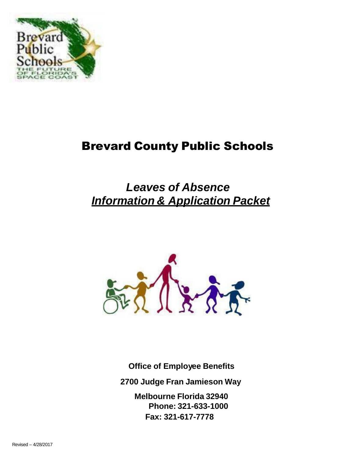

# Brevard County Public Schools

# *Leaves of Absence Information & Application Packet*



**Office of Employee Benefits 2700 Judge Fran Jamieson Way Melbourne Florida 32940 Phone: 321-633-1000**

**Fax: 321-617-7778**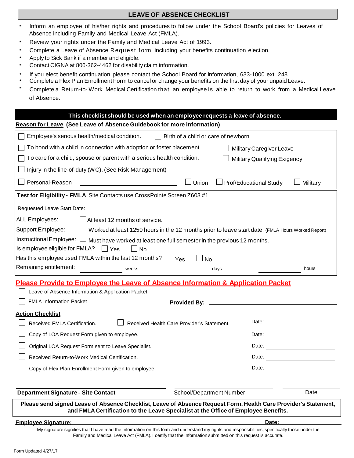#### **LEAVE OF ABSENCE CHECKLIST**

- **\*** Inform an employee of his/her rights and procedures to follow under the School Board's policies for Leaves of Absence including Family and Medical Leave Act (FMLA).
- **\*** Review your rights under the Family and Medical Leave Act of 1993.
- Complete a Leave of Absence R equest form, including your benefits continuation election.
- **\*** Apply to Sick Bank if a member and eligible.
- **\*** Contact CIGNA at 800-362-4462 for disability claim information.
- **\*** If you elect benefit continuation please contact the School Board for information, 633-1000 ext. 248.
- **\*** Complete a Flex Plan Enrollment Form to cancel or change your benefits on the first day of your unpaid Leave.
- **\*** Complete a Return-to- Work Medical Certification that an employee is able to return to work from a Medical Leave of Absence.

|                                                                                                                                                                                                       | This checklist should be used when an employee requests a leave of absence. |  |  |  |  |  |
|-------------------------------------------------------------------------------------------------------------------------------------------------------------------------------------------------------|-----------------------------------------------------------------------------|--|--|--|--|--|
| Reason for Leave (See Leave of Absence Guidebook for more information)                                                                                                                                |                                                                             |  |  |  |  |  |
| Employee's serious health/medical condition.<br>$\Box$ Birth of a child or care of newborn                                                                                                            |                                                                             |  |  |  |  |  |
| To bond with a child in connection with adoption or foster placement.                                                                                                                                 | Military Caregiver Leave                                                    |  |  |  |  |  |
| To care for a child, spouse or parent with a serious health condition.                                                                                                                                | Military Qualifying Exigency                                                |  |  |  |  |  |
| Injury in the line-of-duty (WC). (See Risk Management)                                                                                                                                                |                                                                             |  |  |  |  |  |
| Personal-Reason<br>J Union                                                                                                                                                                            | Prof/Educational Study<br>Military                                          |  |  |  |  |  |
| Test for Eligibility - FMLA Site Contacts use CrossPointe Screen Z603 #1                                                                                                                              |                                                                             |  |  |  |  |  |
|                                                                                                                                                                                                       |                                                                             |  |  |  |  |  |
| ALL Employees:<br>$\Box$ At least 12 months of service.                                                                                                                                               |                                                                             |  |  |  |  |  |
| Support Employee:<br>U Worked at least 1250 hours in the 12 months prior to leave start date. (FMLA Hours Worked Report)                                                                              |                                                                             |  |  |  |  |  |
| Instructional Employee: $\Box$ Must have worked at least one full semester in the previous 12 months.                                                                                                 |                                                                             |  |  |  |  |  |
| Is employee eligible for FMLA? $\Box$ Yes<br>$\vert$ No                                                                                                                                               |                                                                             |  |  |  |  |  |
| Has this employee used FMLA within the last 12 months? $\Box$ Yes<br><b>No</b>                                                                                                                        |                                                                             |  |  |  |  |  |
| Remaining entitlement:<br>weeks<br>days                                                                                                                                                               | hours                                                                       |  |  |  |  |  |
| <b>Please Provide to Employee the Leave of Absence Information &amp; Application Packet</b>                                                                                                           |                                                                             |  |  |  |  |  |
|                                                                                                                                                                                                       |                                                                             |  |  |  |  |  |
| Leave of Absence Information & Application Packet                                                                                                                                                     |                                                                             |  |  |  |  |  |
| <b>FMLA Information Packet</b><br><b>Provided By:</b>                                                                                                                                                 |                                                                             |  |  |  |  |  |
| <b>Action Checklist</b>                                                                                                                                                                               |                                                                             |  |  |  |  |  |
| Received FMLA Certification.<br>Received Health Care Provider's Statement.                                                                                                                            | Date: <u>_______________</u>                                                |  |  |  |  |  |
| Copy of LOA Request Form given to employee.                                                                                                                                                           | Date:                                                                       |  |  |  |  |  |
| Original LOA Request Form sent to Leave Specialist.                                                                                                                                                   | Date:                                                                       |  |  |  |  |  |
| Received Return-to-Work Medical Certification.                                                                                                                                                        | Date:                                                                       |  |  |  |  |  |
| Copy of Flex Plan Enrollment Form given to employee.                                                                                                                                                  | Date:                                                                       |  |  |  |  |  |
|                                                                                                                                                                                                       |                                                                             |  |  |  |  |  |
| <b>Department Signature - Site Contact</b><br>School/Department Number                                                                                                                                | Date                                                                        |  |  |  |  |  |
| Please send signed Leave of Absence Checklist, Leave of Absence Request Form, Health Care Provider's Statement,<br>and FMLA Certification to the Leave Specialist at the Office of Employee Benefits. |                                                                             |  |  |  |  |  |
| <b>Emplovee Signature:</b>                                                                                                                                                                            | Date:                                                                       |  |  |  |  |  |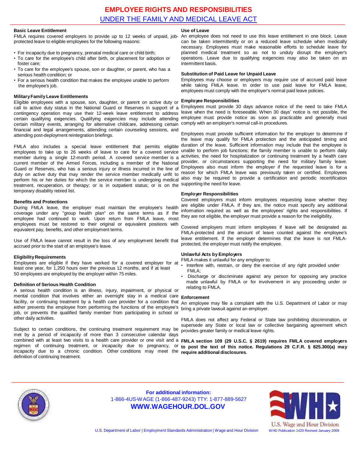#### **Basic Leave Entitlement**

protected leave to eligible employees for the following reasons:

- For incapacity due to pregnancy, prenatal medical care or child birth;
- To care for the employee's child after birth, or placement for adoption or foster care;
- To care for the employee's spouse, son or daughter, or parent, who has a serious health condition; or
- For a serious health condition that makes the employee unable to perform the employee's job.

#### **MilitaryFamily Leave Entitlements**

Eligible employees with a spouse, son, daughter, or parent on active duty or call to active duty status in the National Guard or Reserves in support of a contingency operation may use their 12-week leave entitlement to address certain qualifying exigencies. Qualifying exigencies may include attending certain military events, arranging for alternative childcare, addressing certain financial and legal arrangements, attending certain counseling sessions, and attending post-deployment reintegration briefings.

FMLA also includes a special leave entitlement that permits eligible employees to take up to 26 weeks of leave to care for a covered service member during a single 12-month period. A covered service member is a Guard or Reserves, who has a serious injury or illness incurred in the line of duty on active duty that may render the service member medically unfit to treatment, recuperation, or therapy; or is in outpatient status; or is on the supporting the need for leave. temporary disability retired list.

#### **Benefits and Protections**

During FMLA leave, the employer must maintain the employee's health coverage under any "group health plan" on the same terms as if the employee had continued to work. Upon return from FMLA leave, most employees must be restored to their original or equivalent positions with equivalent pay, benefits, and other employment terms.

Use of FMLA leave cannot result in the loss of any employment benefit that accrued prior to the start of an employee's leave.

#### **EligibilityRequirements**

Employees are eligible if they have worked for a covered employer for at least one year, for 1,250 hours over the previous 12 months, and if at least 50 employees are employed by the employer within 75 miles.

#### **Definition of Serious Health Condition**

A serious health condition is an illness, injury, impairment, or physical or mental condition that involves either an overnight stay in a medical care facility, or continuing treatment by a health care provider for a condition that either prevents the employee from performing the functions of the employee's bring a private lawsuit against an employer. job, or prevents the qualified family member from participating in school or other daily activities.

Subject to certain conditions, the continuing treatment requirement may be met by a period of incapacity of more than 3 consecutive calendar days incapacity due to a chronic condition. Other conditions may meet the **require additional disclosures.** definition of continuing treatment.

#### **Use of Leave**

FMLA requires covered employers to provide up to 12 weeks of unpaid, job- An employee does not need to use this leave entitlement in one block. Leave can be taken intermittently or on a reduced leave schedule when medically necessary. Employees must make reasonable efforts to schedule leave for planned medical treatment so as not to unduly disrupt the employer's operations. Leave due to qualifying exigencies may also be taken on an intermittent basis.

#### **Substitution of Paid Leave for Unpaid Leave**

Employees may choose or employers may require use of accrued paid leave while taking FMLA leave. In order to use paid leave for FMLA leave, employees must comply with the employer's normal paid leave policies.

#### **Employee Responsibilities**

Employees must provide 30 days advance notice of the need to take FMLA leave when the need is foreseeable. When 30 days' notice is not possible, the employee must provide notice as soon as practicable and generally must comply with an employer's normal call-in procedures.

current member of the Armed Forces, including a member of the National provider, or circumstances supporting the need for military family leave. perform his or her duties for which the service member is undergoing medical also may be required to provide a certification and periodic recertification Employees must provide sufficient information for the employer to determine if the leave may qualify for FMLA protection and the anticipated timing and duration of the leave. Sufficient information may include that the employee is unable to perform job functions; the family member is unable to perform daily activities, the need for hospitalization or continuing treatment by a health care Employees also must inform the employer if the requested leave is for a reason for which FMLA leave was previously taken or certified. Employees

#### **Employer Responsibilities**

Covered employers must inform employees requesting leave whether they are eligible under FMLA. If they are, the notice must specify any additional information required as well as the employees' rights and responsibilities. If they are not eligible, the employer must provide a reason for the ineligibility.

Covered employers must inform employees if leave will be designated as FMLA-protected and the amount of leave counted against the employee's leave entitlement. If the employer determines that the leave is not FMLAprotected, the employer must notify the employee.

#### **Unlawful Acts by Employers**

FMLA makes it unlawful for any employer to:

- Interfere with, restrain, or deny the exercise of any right provided under  $FMI A$
- Discharge or discriminate against any person for opposing any practice made unlawful by FMLA or for involvement in any proceeding under or relating to FMLA.

#### **Enforcement**

An employee may file a complaint with the U.S. Department of Labor or may

FMLA does not affect any Federal or State law prohibiting discrimination, or supersede any State or local law or collective bargaining agreement which provides greater family or medical leave rights.

combined with at least two visits to a health care provider or one visit and a FMLA section 109 (29 U.S.C. § 2619) requires FMLA covered employers regimen of continuing treatment, or incapacity due to pregnancy, or to post the text of this notice. Regulations 29 C.F.R. § 825.300(a) may



**For additional information:** 1-866-4US-WAGE (1-866-487-9243) TTY: 1-877-889-5627 **[WWW.WAGEHOUR.DOL.GOV](http://www.wagehour.dol.gov/)**



U.S. Wage and Hour Division

U.S. Department of Labor | Employment Standards Administration | Wage and Hour Division WHD Publication 1420 Revised January 2009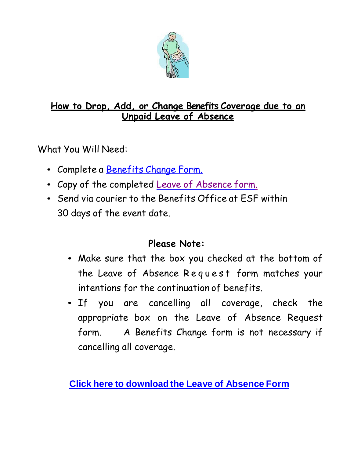

# **How to Drop, Add, or Change Benefits Coverage due to an Unpaid Leave of Absence**

What You Will Need:

- Complete a [Benefits](https://www.brevardschools.org/cms/lib/FL02201431/Centricity/Domain/1149/Benefit%20Change%20Form%202019.pdf) Change Form.
- Copy of the completed Leave of [Absence](https://www.brevardschools.org/site/handlers/filedownload.ashx?moduleinstanceid=18477&dataid=23499&FileName=LOA%20Form%20Fill%20and%20Print1.pdf) form.
- Send via courier to the Benefits Office at ESF within 30 days of the event date.

# **Please Note:**

- Make sure that the box you checked at the bottom of the Leave of Absence R e q u e s t form matches your intentions for the continuation of benefits.
- If you are cancelling all coverage, check the appropriate box on the Leave of Absence Request form. A Benefits Change form is not necessary if cancelling all coverage.

**Click here to [download](https://www.brevardschools.org/site/handlers/filedownload.ashx?moduleinstanceid=18477&dataid=23499&FileName=LOA%20Form%20Fill%20and%20Print1.pdf) the Leave of Absence Form**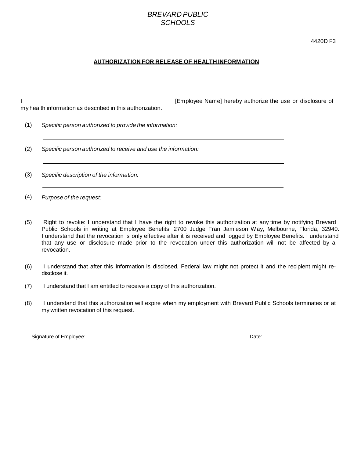## *BREVARD PUBLIC SCHOOLS*

4420D F3

#### **AUTHORIZATION FOR RELEASE OF HEALTH INFORMATION**

|     | my health information as described in this authorization.      |
|-----|----------------------------------------------------------------|
| (1) | Specific person authorized to provide the information:         |
| (2) | Specific person authorized to receive and use the information: |

I **I Employee Name]** hereby authorize the use or disclosure of

(3) *Specific description of the information:*

(4) *Purpose of the request:*

- (5) Right to revoke: I understand that I have the right to revoke this authorization at any time by notifying Brevard Public Schools in writing at Employee Benefits, 2700 Judge Fran Jamieson Way, Melbourne, Florida, 32940. I understand that the revocation is only effective after it is received and logged by Employee Benefits. I understand that any use or disclosure made prior to the revocation under this authorization will not be affected by a revocation.
- (6) I understand that after this information is disclosed, Federal law might not protect it and the recipient might redisclose it.
- (7) I understand that I am entitled to receive a copy of this authorization.
- (8) I understand that this authorization will expire when my employment with Brevard Public Schools terminates or at my written revocation of this request.

Signature of Employee: <u>Date:</u> Date: Date: Date: Date: Date: Date: Date: Date: Date: Date: Date: Date: Date: Date: Date: Date: Date: Date: Date: Date: Date: Date: Date: Date: Date: Date: Date: Date: Date: Date: Date: Date: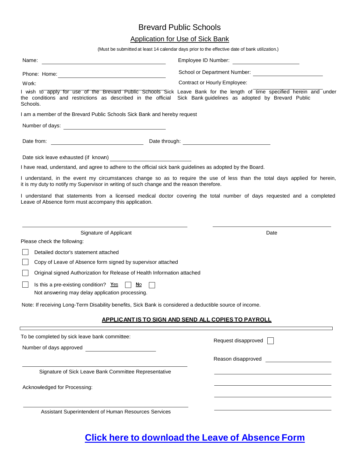# Brevard Public Schools

## Application for Use of Sick Bank

(Must be submitted at least 14 calendar days prior to the effective date of bank utilization.)

| Name:<br>the control of the control of the control of the control of the control of the control of                         | Employee ID Number:<br><u> 1980 - Jan Stein Harry Harry Harry Harry Harry Harry Harry Harry Harry Harry Harry Harry Harry Harry Harry</u>                                                                                            |  |  |
|----------------------------------------------------------------------------------------------------------------------------|--------------------------------------------------------------------------------------------------------------------------------------------------------------------------------------------------------------------------------------|--|--|
|                                                                                                                            | School or Department Number:                                                                                                                                                                                                         |  |  |
| Work:                                                                                                                      | Contract or Hourly Employee:                                                                                                                                                                                                         |  |  |
| the conditions and restrictions as described in the official Sick Bank guidelines as adopted by Brevard Public<br>Schools. | I wish to apply for use of the Brevard Public Schools Sick Leave Bank for the length of time specified herein and under                                                                                                              |  |  |
| I am a member of the Brevard Public Schools Sick Bank and hereby request                                                   |                                                                                                                                                                                                                                      |  |  |
| Number of days:                                                                                                            |                                                                                                                                                                                                                                      |  |  |
| Date from:<br><u> 1980 - Johann Barbara, martin a</u>                                                                      | Date through: <u>contract and the set of the set of the set of the set of the set of the set of the set of the set of the set of the set of the set of the set of the set of the set of the set of the set of the set of the set</u> |  |  |
| Date sick leave exhausted (if known)                                                                                       |                                                                                                                                                                                                                                      |  |  |
| I have read, understand, and agree to adhere to the official sick bank guidelines as adopted by the Board.                 |                                                                                                                                                                                                                                      |  |  |
| it is my duty to notify my Supervisor in writing of such change and the reason therefore.                                  | I understand, in the event my circumstances change so as to require the use of less than the total days applied for herein,                                                                                                          |  |  |
| Leave of Absence form must accompany this application.                                                                     | I understand that statements from a licensed medical doctor covering the total number of days requested and a completed                                                                                                              |  |  |
|                                                                                                                            |                                                                                                                                                                                                                                      |  |  |
| Signature of Applicant                                                                                                     | Date                                                                                                                                                                                                                                 |  |  |
| Please check the following:                                                                                                |                                                                                                                                                                                                                                      |  |  |
| Detailed doctor's statement attached                                                                                       |                                                                                                                                                                                                                                      |  |  |
| Copy of Leave of Absence form signed by supervisor attached                                                                |                                                                                                                                                                                                                                      |  |  |
| Original signed Authorization for Release of Health Information attached                                                   |                                                                                                                                                                                                                                      |  |  |
| Is this a pre-existing condition? Yes $\Box$ No<br>Not answering may delay application processing.                         |                                                                                                                                                                                                                                      |  |  |
| Note: If receiving Long-Term Disability benefits, Sick Bank is considered a deductible source of income.                   |                                                                                                                                                                                                                                      |  |  |
|                                                                                                                            | <u>APPLICANT IS TO SIGN AND SEND ALL COPIES TO PAYROLL</u>                                                                                                                                                                           |  |  |
| To be completed by sick leave bank committee:                                                                              | Request disapproved                                                                                                                                                                                                                  |  |  |
| Number of days approved                                                                                                    |                                                                                                                                                                                                                                      |  |  |
|                                                                                                                            | Reason disapproved                                                                                                                                                                                                                   |  |  |
| Signature of Sick Leave Bank Committee Representative                                                                      |                                                                                                                                                                                                                                      |  |  |
| Acknowledged for Processing:                                                                                               |                                                                                                                                                                                                                                      |  |  |
| Assistant Superintendent of Human Resources Services                                                                       |                                                                                                                                                                                                                                      |  |  |
|                                                                                                                            |                                                                                                                                                                                                                                      |  |  |

# **Click here to [download](https://www.brevardschools.org/site/handlers/filedownload.ashx?moduleinstanceid=18477&dataid=23499&FileName=LOA%20Form%20Fill%20and%20Print1.pdf) the Leave of Absence Form**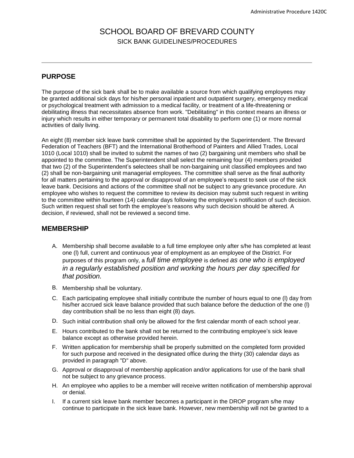# SCHOOL BOARD OF BREVARD COUNTY SICK BANK GUIDELINES/PROCEDURES

## **PURPOSE**

The purpose of the sick bank shall be to make available a source from which qualifying employees may be granted additional sick days for his/her personal inpatient and outpatient surgery, emergency medical or psychological treatment with admission to a medical facility, or treatment of a life-threatening or debilitating illness that necessitates absence from work. "Debilitating" in this context means an illness or injury which results in either temporary or permanent total disability to perform one (1) or more normal activities of daily living.

An eight (8) member sick leave bank committee shall be appointed by the Superintendent. The Brevard Federation of Teachers (BFT) and the International Brotherhood of Painters and Allied Trades, Local 1010 (Local 1010) shall be invited to submit the names of two (2) bargaining unit members who shall be appointed to the committee. The Superintendent shall select the remaining four (4) members provided that two (2) of the Superintendent's selectees shall be non-bargaining unit classified employees and two (2) shall be non-bargaining unit managerial employees. The committee shall serve as the final authority for all matters pertaining to the approval or disapproval of an employee's request to seek use of the sick leave bank. Decisions and actions of the committee shall not be subject to any grievance procedure. An employee who wishes to request the committee to review its decision may submit such request in writing to the committee within fourteen (14) calendar days following the employee's notification of such decision. Such written request shall set forth the employee's reasons why such decision should be altered. A decision, if reviewed, shall not be reviewed a second time.

#### **MEMBERSHIP**

- A. Membership shall become available to a full time employee only after s/he has completed at least one (l) full, current and continuous year of employment as an employee of the District. For purposes of this program only, a *full time employee* is defined *as one who is employed in a regularly established position and working the hours per day specified for that position.*
- B. Membership shall be voluntary.
- C. Each participating employee shall initially contribute the number of hours equal to one (l) day from his/her accrued sick leave balance provided that such balance before the deduction of the one (l) day contribution shall be no less than eight (8) days.
- D. Such initial contribution shall only be allowed for the first calendar month of each school year.
- E. Hours contributed to the bank shall not be returned to the contributing employee's sick leave balance except as otherwise provided herein.
- F. Written application for membership shall be properly submitted on the completed form provided for such purpose and received in the designated office during the thirty (30) calendar days as provided in paragraph "D" above.
- G. Approval or disapproval of membership application and/or applications for use of the bank shall not be subject to any grievance process.
- H. An employee who applies to be a member will receive written notification of membership approval or denial.
- I. If a current sick leave bank member becomes a participant in the DROP program s/he may continue to participate in the sick leave bank. However, new membership will not be granted to a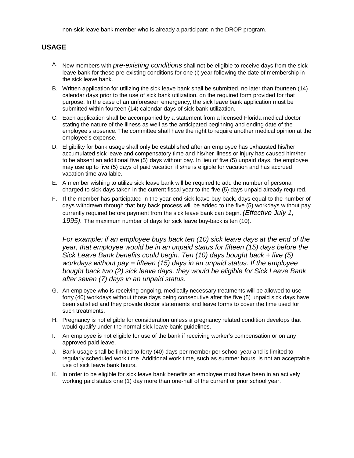non-sick leave bank member who is already a participant in the DROP program.

## **USAGE**

- A. New members with *pre-existing conditions* shall not be eligible to receive days from the sick leave bank for these pre-existing conditions for one (l) year following the date of membership in the sick leave bank.
- B. Written application for utilizing the sick leave bank shall be submitted, no later than fourteen (14) calendar days prior to the use of sick bank utilization, on the required form provided for that purpose. In the case of an unforeseen emergency, the sick leave bank application must be submitted within fourteen (14) calendar days of sick bank utilization.
- C. Each application shall be accompanied by a statement from a licensed Florida medical doctor stating the nature of the illness as well as the anticipated beginning and ending date of the employee's absence. The committee shall have the right to require another medical opinion at the employee's expense.
- D. Eligibility for bank usage shall only be established after an employee has exhausted his/her accumulated sick leave and compensatory time and his/her illness or injury has caused him/her to be absent an additional five (5) days without pay. In lieu of five (5) unpaid days, the employee may use up to five (5) days of paid vacation if s/he is eligible for vacation and has accrued vacation time available.
- E. A member wishing to utilize sick leave bank will be required to add the number of personal charged to sick days taken in the current fiscal year to the five (5) days unpaid already required.
- F. If the member has participated in the year-end sick leave buy back, days equal to the number of days withdrawn through that buy back process will be added to the five (5) workdays without pay currently required before payment from the sick leave bank can begin. *(Effective July 1, 1995).* The maximum number of days for sick leave buy-back is ten (10).

*For example: if an employee buys back ten (10) sick leave days at the end of the year, that employee would be in an unpaid status for fifteen (15) days before the Sick Leave Bank benefits could begin. Ten (10) days bought back + five (5) workdays without pay = fifteen (15) days in an unpaid status. If the employee bought back two (2) sick leave days, they would be eligible for Sick Leave Bank after seven (7) days in an unpaid status.*

- G. An employee who is receiving ongoing, medically necessary treatments will be allowed to use forty (40) workdays without those days being consecutive after the five (5) unpaid sick days have been satisfied and they provide doctor statements and leave forms to cover the time used for such treatments.
- H. Pregnancy is not eligible for consideration unless a pregnancy related condition develops that would qualify under the normal sick leave bank guidelines.
- I. An employee is not eligible for use of the bank if receiving worker's compensation or on any approved paid leave.
- J. Bank usage shall be limited to forty (40) days per member per school year and is limited to regularly scheduled work time. Additional work time, such as summer hours, is not an acceptable use of sick leave bank hours.
- K. In order to be eligible for sick leave bank benefits an employee must have been in an actively working paid status one (1) day more than one-half of the current or prior school year.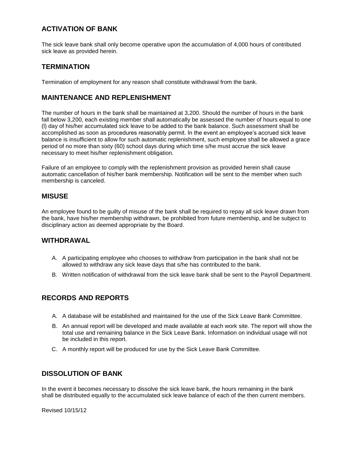## **ACTIVATION OF BANK**

The sick leave bank shall only become operative upon the accumulation of 4,000 hours of contributed sick leave as provided herein.

## **TERMINATION**

Termination of employment for any reason shall constitute withdrawal from the bank.

### **MAINTENANCE AND REPLENISHMENT**

The number of hours in the bank shall be maintained at 3,200. Should the number of hours in the bank fall below 3,200, each existing member shall automatically be assessed the number of hours equal to one (l) day of his/her accumulated sick leave to be added to the bank balance. Such assessment shall be accomplished as soon as procedures reasonably permit. In the event an employee's accrued sick leave balance is insufficient to allow for such automatic replenishment, such employee shall be allowed a grace period of no more than sixty (60) school days during which time s/he must accrue the sick leave necessary to meet his/her replenishment obligation.

Failure of an employee to comply with the replenishment provision as provided herein shall cause automatic cancellation of his/her bank membership. Notification will be sent to the member when such membership is canceled.

### **MISUSE**

An employee found to be guilty of misuse of the bank shall be required to repay all sick leave drawn from the bank, have his/her membership withdrawn, be prohibited from future membership, and be subject to disciplinary action as deemed appropriate by the Board.

#### **WITHDRAWAL**

- A. A participating employee who chooses to withdraw from participation in the bank shall not be allowed to withdraw any sick leave days that s/he has contributed to the bank.
- B. Written notification of withdrawal from the sick leave bank shall be sent to the Payroll Department.

## **RECORDS AND REPORTS**

- A. A database will be established and maintained for the use of the Sick Leave Bank Committee.
- B. An annual report will be developed and made available at each work site. The report will show the total use and remaining balance in the Sick Leave Bank. Information on individual usage will not be included in this report.
- C. A monthly report will be produced for use by the Sick Leave Bank Committee.

### **DISSOLUTION OF BANK**

In the event it becomes necessary to dissolve the sick leave bank, the hours remaining in the bank shall be distributed equally to the accumulated sick leave balance of each of the then current members.

Revised 10/15/12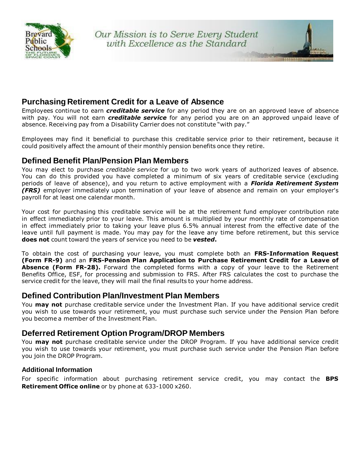

## **Purchasing Retirement Credit for a Leave of Absence**

Employees continue to earn *creditable service* for any period they are on an approved leave of absence with pay. You will not earn *creditable service* for any period you are on an approved unpaid leave of absence. Receiving pay from a Disability Carrier does not constitute "with pay."

Employees may find it beneficial to purchase this creditable service prior to their retirement, because it could positively affect the amount of their monthly pension benefits once they retire.

## **Defined Benefit Plan/Pension Plan Members**

You may elect to purchase *creditable service* for up to two work years of authorized leaves of absence. You can do this provided you have completed a minimum of six years of creditable service (excluding periods of leave of absence), and you return to active employment with a *Florida Retirement System (FRS)* employer immediately upon termination of your leave of absence and remain on your employer's payroll for at least one calendar month.

Your cost for purchasing this creditable service will be at the retirement fund employer contribution rate in effect immediately prior to your leave. This amount is multiplied by your monthly rate of compensation in effect immediately prior to taking your leave plus 6.5% annual interest from the effective date of the leave until full payment is made. You may pay for the leave any time before retirement, but this service **does not** count toward the years of service you need to be *vested***.**

To obtain the cost of purchasing your leave, you must complete both an **FRS-Information Request (Form FR-9)** and an **FRS-Pension Plan Application to Purchase Retirement Credit for a Leave of Absence (Form FR-28).** Forward the completed forms with a copy of your leave to the Retirement Benefits Office, ESF, for processing and submission to FRS. After FRS calculates the cost to purchase the service credit for the leave, they will mail the final results to your home address.

## **Defined Contribution Plan/Investment Plan Members**

You **may not** purchase creditable service under the Investment Plan. If you have additional service credit you wish to use towards your retirement, you must purchase such service under the Pension Plan before you become a member of the Investment Plan.

## **Deferred Retirement Option Program/DROP Members**

You **may not** purchase creditable service under the DROP Program. If you have additional service credit you wish to use towards your retirement, you must purchase such service under the Pension Plan before you join the DROP Program.

### **Additional Information**

For specific information about purchasing retirement service credit, you may contact the **BPS Retirement Office online** or by phone at 633-1000 x260.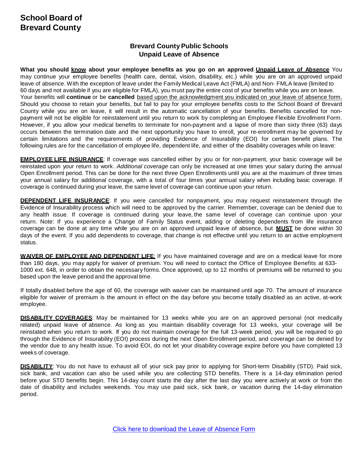# **School Board of Brevard County**

## **Brevard County Public Schools Unpaid Leave of Absence**

What you should know about your employee benefits as you go on an approved Unpaid Leave of Absence You may continue your employee benefits (health care, dental, vision, disability, etc.) while you are on an approved unpaid leave of absence. With the exception of leave under the Family Medical Leave Act (FMLA) and Non- FMLA leave (limited to 60 days and not available if you are eligible for FMLA), you must pay the entire cost of your benefits while you are on leave. Your benefits will **continue** or be **cancelled** based upon the acknowledgment you indicated on your leave of absence form. Should you choose to retain your benefits, but fail to pay for your employee benefits costs to the School Board of Brevard County while you are on leave, it will result in the automatic cancellation of your benefits. Benefits cancelled for nonpayment will not be eligible for reinstatement until you return to work by completing an Employee Flexible Enrollment Form. However, if you allow your medical benefits to terminate for non-payment and a lapse of more than sixty three (63) days occurs between the termination date and the next opportunity you have to enroll, your re-enrollment may be governed by certain limitations and the requirements of providing Evidence of Insurability (EOI) for certain benefit plans. The following rules are for the cancellation of employee life, dependent life, and either of the disability coverages while on leave:

**EMPLOYEE LIFE INSURANCE**: If coverage was cancelled either by you or for non-payment, your basic coverage will be reinstated upon your return to work. *Additional coverage* can only be increased at one times your salary during the annual Open Enrollment period. This can be done for the next three Open Enrollments until you are at the maximum of three times your annual salary for additional coverage, with a total of four times your annual salary when including basic coverage. If coverage is continued during your leave, the same level of coverage can continue upon your return.

**DEPENDENT LIFE INSURANCE**: If you were cancelled for nonpayment, you may request reinstatement through the Evidence of Insurability process which will need to be approved by the carrier. Remember, coverage can be denied due to any health issue. If coverage is continued during your leave, the same level of coverage can continue upon your return. Note: If you experience a Change of Family Status event, adding or deleting dependents from life insurance coverage can be done at any time while you are on an approved unpaid leave of absence, but **MUST** be done within 30 days of the event. If you add dependents to coverage, that change is not effective until you return to an active employment status.

**WAIVER OF EMPLOYEE AND DEPENDENT LIFE**: If you have maintained coverage and are on a medical leave for more than 180 days, you may apply for waiver of premium. You will need to contact the Office of Employee Benefits at 633- 1000 ext. 648, in order to obtain the necessary forms. Once approved, up to 12 months of premiums will be returned to you based upon the leave period and the approval time.

If totally disabled before the age of 60, the coverage with waiver can be maintained until age 70. The amount of insurance eligible for waiver of premium is the amount in effect on the day before you become totally disabled as an active, at-work employee.

**DISABILITY COVERAGES**: May be maintained for 13 weeks while you are on an approved personal (not medically related) unpaid leave of absence. As long as you maintain disability coverage for 13 weeks, your coverage will be reinstated when you return to work. If you do not maintain coverage for the full 13-week period, you will be required to go through the Evidence of Insurability (EOI) process during the next Open Enrollment period, and coverage can be denied by the vendor due to any health issue. To avoid EOI, do not let your disability coverage expire before you have completed 13 weeks of coverage.

**DISABILITY**: You do not have to exhaust all of your sick pay prior to applying for Short-term Disability (STD). Paid sick, sick bank, and vacation can also be used while you are collecting STD benefits. There is a 14-day elimination period before your STD benefits begin. This 14-day count starts the day after the last day you were actively at work or from the date of disability and includes weekends. You may use paid sick, sick bank, or vacation during the 14-day elimination period.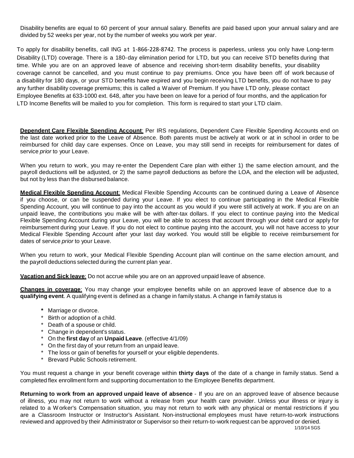Disability benefits are equal to 60 percent of your annual salary. Benefits are paid based upon your annual salary and are divided by 52 weeks per year, not by the number of weeks you work per year.

To apply for disability benefits, call ING at 1‐866‐228‐8742. The process is paperless, unless you only have Long-term Disability (LTD) coverage. There is a 180-day elimination period for LTD, but you can receive STD benefits during that time. While you are on an approved leave of absence and receiving short-term disability benefits, your disability coverage cannot be cancelled, and you must continue to pay premiums. Once you have been off of work because of a disability for 180 days, or your STD benefits have expired and you begin receiving LTD benefits, you do not have to pay any further disability coverage premiums; this is called a Waiver of Premium. If you have LTD only, please contact Employee Benefits at 633-1000 ext. 648, after you have been on leave for a period of four months, and the application for LTD Income Benefits will be mailed to you for completion. This form is required to start your LTD claim.

**Dependent Care Flexible Spending Account**: Per IRS regulations, Dependent Care Flexible Spending Accounts end on the last date worked prior to the Leave of Absence. Both parents must be actively at work or at in school in order to be reimbursed for child day care expenses. Once on Leave, you may still send in receipts for reimbursement for dates of service *prior* to your Leave.

When you return to work, you may re-enter the Dependent Care plan with either 1) the same election amount, and the payroll deductions will be adjusted, or 2) the same payroll deductions as before the LOA, and the election will be adjusted, but not by less than the disbursed balance.

**Medical Flexible Spending Account**: Medical Flexible Spending Accounts can be continued during a Leave of Absence if you choose, or can be suspended during your Leave. If you elect to continue participating in the Medical Flexible Spending Account, you will continue to pay into the account as you would if you were still actively at work. If you are on an unpaid leave, the contributions you make will be with after-tax dollars. If you elect to continue paying into the Medical Flexible Spending Account during your Leave, you will be able to access that account through your debit card or apply for reimbursement during your Leave. If you do not elect to continue paying into the account, you will not have access to your Medical Flexible Spending Account after your last day worked. You would still be eligible to receive reimbursement for dates of service *prior* to your Leave.

When you return to work, your Medical Flexible Spending Account plan will continue on the same election amount, and the payroll deductions selected during the current plan year.

**Vacation and Sick leave**: Do not accrue while you are on an approved unpaid leave of absence.

**Changes in coverage**: You may change your employee benefits while on an approved leave of absence due to a **qualifying event**. A qualifying event is defined as a change in family status. A change in family status is

- **\*** Marriage or divorce.
- \* Birth or adoption of a child.
- \* Death of a spouse or child.
- \* Change in dependent's status.
- \* On the **first day** of an **Unpaid Leave**. (effective 4/1/09)
- \* On the first day of your return from an unpaid leave.
- \* The loss or gain of benefits for yourself or your eligible dependents.
- \* Brevard Public Schools retirement.

You must request a change in your benefit coverage within **thirty days** of the date of a change in family status. Send a completed flex enrollment form and supporting documentation to the Employee Benefits department.

**Returning to work from an approved unpaid leave of absence** - If you are on an approved leave of absence because of illness, you may not return to work without a release from your health care provider. Unless your illness or injury is related to a W orker's Compensation situation, you may not return to work with any physical or mental restrictions if you are a Classroom Instructor or Instructor's Assistant. Non-instructional employees must have return-to-work instructions reviewed and approved by their Administrator or Supervisor so their return-to-work request can be approved or denied.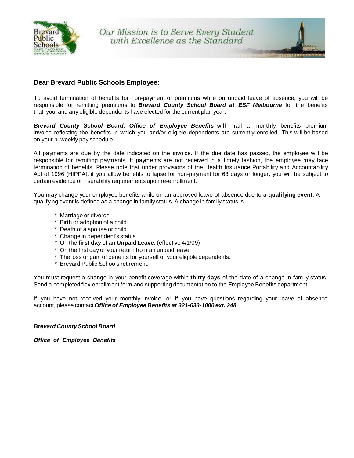

### **Dear Brevard Public Schools Employee:**

To avoid termination of benefits for non-payment of premiums while on unpaid leave of absence, you will be responsible for remitting premiums to *Brevard County School Board at ESF Melbourne* for the benefits that you and any eligible dependents have elected for the current plan year.

*Brevard County School Board, Office of Employee Benefits* will mail a monthly benefits premium invoice reflecting the benefits in which you and/or eligible dependents are currently enrolled. This will be based on your bi-weekly pay schedule.

All payments are due by the date indicated on the invoice. If the due date has passed, the employee will be responsible for remitting payments. If payments are not received in a timely fashion, the employee may face termination of benefits. Please note that under provisions of the Health Insurance Portability and Accountability Act of 1996 (HIPPA), if you allow benefits to lapse for non-payment for 63 days or longer, you will be subject to certain evidence of insurability requirements upon re-enrollment.

You may change your employee benefits while on an approved leave of absence due to a **qualifying event**. A qualifying event is defined as a change in family status. A change in family status is

- \* Marriage or divorce.
- \* Birth or adoption of a child.
- \* Death of a spouse or child.
- \* Change in dependent's status.
- \* On the **first day** of an **Unpaid Leave**. (effective 4/1/09)
- \* On the first day of your return from an unpaid leave.
- \* The loss or gain of benefits for yourself or your eligible dependents.
- \* Brevard Public Schools retirement.

You must request a change in your benefit coverage within **thirty days** of the date of a change in family status. Send a completed flex enrollment form and supporting documentation to the Employee Benefits department.

If you have not received your monthly invoice, or if you have questions regarding your leave of absence account, please contact *Office of Employee Benefits at 321-633-1000 ext. 248*.

#### *Brevard County School Board*

*Office of Employee Benefits*